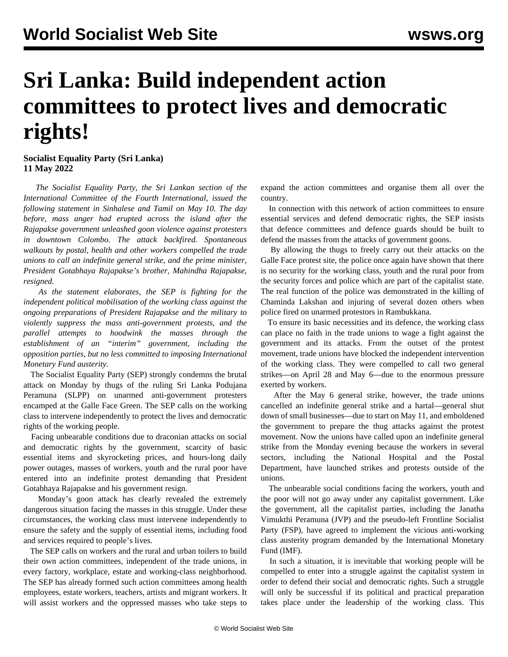## **Sri Lanka: Build independent action committees to protect lives and democratic rights!**

**Socialist Equality Party (Sri Lanka) 11 May 2022**

 *The Socialist Equality Party, the Sri Lankan section of the International Committee of the Fourth International, issued the following statement in Sinhalese and Tamil on May 10. The day before, mass anger had erupted across the island after the Rajapakse government unleashed goon violence against protesters in downtown Colombo. The attack [backfired.](/en/articles/2022/05/10/sril-m10.html) Spontaneous walkouts by postal, health and other workers compelled the trade unions to call an indefinite general strike, and the prime minister, President Gotabhaya Rajapakse's brother, Mahindha Rajapakse, resigned.*

 *As the statement elaborates, the SEP is fighting for the independent political mobilisation of the working class against the ongoing preparations of President Rajapakse and the military to violently suppress the mass anti-government protests, and the parallel attempts to hoodwink the masses through the establishment of an "interim" government, including the opposition parties, but no less committed to imposing International Monetary Fund austerity.*

 The Socialist Equality Party (SEP) strongly condemns the brutal attack on Monday by thugs of the ruling Sri Lanka Podujana Peramuna (SLPP) on unarmed anti-government protesters encamped at the Galle Face Green. The SEP calls on the working class to intervene independently to protect the lives and democratic rights of the working people.

 Facing unbearable conditions due to draconian attacks on social and democratic rights by the government, scarcity of basic essential items and skyrocketing prices, and hours-long daily power outages, masses of workers, youth and the rural poor have entered into an indefinite protest demanding that President Gotabhaya Rajapakse and his government resign.

 Monday's goon attack has clearly revealed the extremely dangerous situation facing the masses in this struggle. Under these circumstances, the working class must intervene independently to ensure the safety and the supply of essential items, including food and services required to people's lives.

 The SEP calls on workers and the rural and urban toilers to build their own action committees, independent of the trade unions, in every factory, workplace, estate and working-class neighborhood. The SEP has already formed such action committees among health employees, estate workers, teachers, artists and migrant workers. It will assist workers and the oppressed masses who take steps to

expand the action committees and organise them all over the country.

 In connection with this network of action committees to ensure essential services and defend democratic rights, the SEP insists that defence committees and defence guards should be built to defend the masses from the attacks of government goons.

 By allowing the thugs to freely carry out their attacks on the Galle Face protest site, the police once again have shown that there is no security for the working class, youth and the rural poor from the security forces and police which are part of the capitalist state. The real function of the police was demonstrated in the killing of Chaminda Lakshan and injuring of several dozen others when police fired on unarmed protestors in Rambukkana.

 To ensure its basic necessities and its defence, the working class can place no faith in the trade unions to wage a fight against the government and its attacks. From the outset of the protest movement, trade unions have blocked the independent intervention of the working class. They were compelled to call two general strikes—on April 28 and May 6—due to the enormous pressure exerted by workers.

 After the May 6 general strike, however, the trade unions cancelled an indefinite general strike and a hartal—general shut down of small businesses—due to start on May 11, and emboldened the government to prepare the thug attacks against the protest movement. Now the unions have called upon an indefinite general strike from the Monday evening because the workers in several sectors, including the National Hospital and the Postal Department, have launched strikes and protests outside of the unions.

 The unbearable social conditions facing the workers, youth and the poor will not go away under any capitalist government. Like the government, all the capitalist parties, including the Janatha Vimukthi Peramuna (JVP) and the pseudo-left Frontline Socialist Party (FSP), have agreed to implement the vicious anti-working class austerity program demanded by the International Monetary Fund (IMF).

 In such a situation, it is inevitable that working people will be compelled to enter into a struggle against the capitalist system in order to defend their social and democratic rights. Such a struggle will only be successful if its political and practical preparation takes place under the leadership of the working class. This